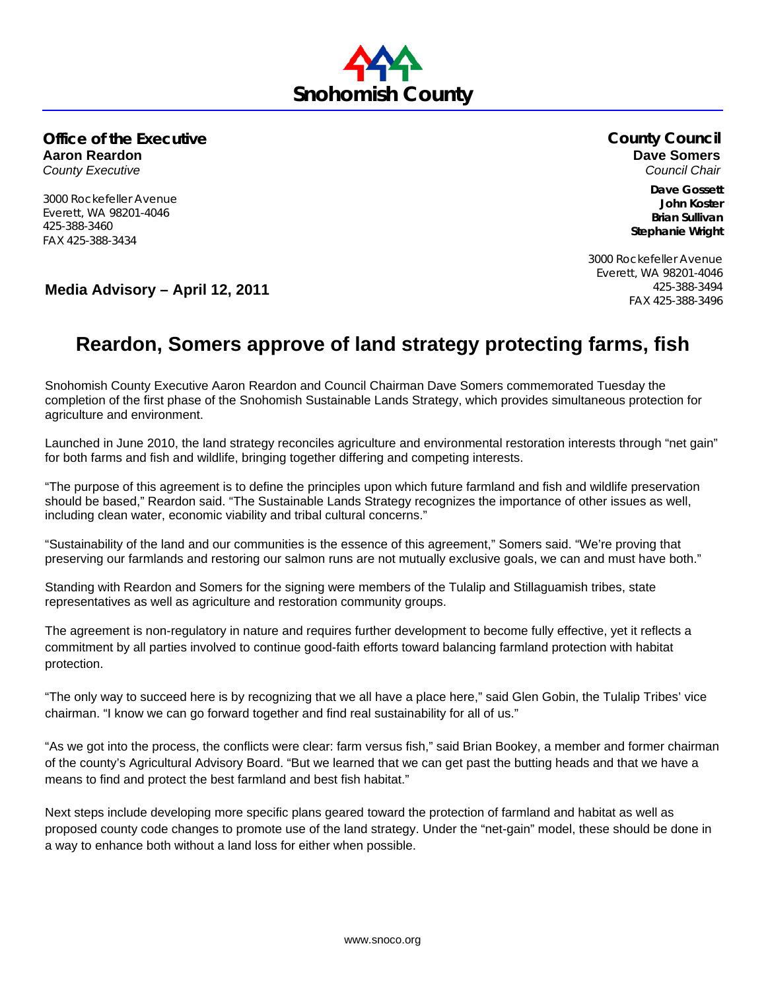

**Office of the Executive Aaron Reardon** *County Executive* 

3000 Rockefeller Avenue Everett, WA 98201-4046

425-388-3460 FAX 425-388-3434 **County Council Dave Somers**  *Council Chair* 

> **Dave Gossett John Koster Brian Sullivan Stephanie Wright**

FAX 425-388-3496 **Media Advisory – April 12, 2011**

3000 Rockefeller Avenue Everett, WA 98201-4046 425-388-3494

## **Reardon, Somers approve of land strategy protecting farms, fish**

Snohomish County Executive Aaron Reardon and Council Chairman Dave Somers commemorated Tuesday the completion of the first phase of the Snohomish Sustainable Lands Strategy, which provides simultaneous protection for agriculture and environment.

Launched in June 2010, the land strategy reconciles agriculture and environmental restoration interests through "net gain" for both farms and fish and wildlife, bringing together differing and competing interests.

"The purpose of this agreement is to define the principles upon which future farmland and fish and wildlife preservation should be based," Reardon said. "The Sustainable Lands Strategy recognizes the importance of other issues as well, including clean water, economic viability and tribal cultural concerns."

"Sustainability of the land and our communities is the essence of this agreement," Somers said. "We're proving that preserving our farmlands and restoring our salmon runs are not mutually exclusive goals, we can and must have both."

Standing with Reardon and Somers for the signing were members of the Tulalip and Stillaguamish tribes, state representatives as well as agriculture and restoration community groups.

The agreement is non-regulatory in nature and requires further development to become fully effective, yet it reflects a commitment by all parties involved to continue good-faith efforts toward balancing farmland protection with habitat protection.

"The only way to succeed here is by recognizing that we all have a place here," said Glen Gobin, the Tulalip Tribes' vice chairman. "I know we can go forward together and find real sustainability for all of us."

"As we got into the process, the conflicts were clear: farm versus fish," said Brian Bookey, a member and former chairman of the county's Agricultural Advisory Board. "But we learned that we can get past the butting heads and that we have a means to find and protect the best farmland and best fish habitat."

Next steps include developing more specific plans geared toward the protection of farmland and habitat as well as proposed county code changes to promote use of the land strategy. Under the "net-gain" model, these should be done in a way to enhance both without a land loss for either when possible.